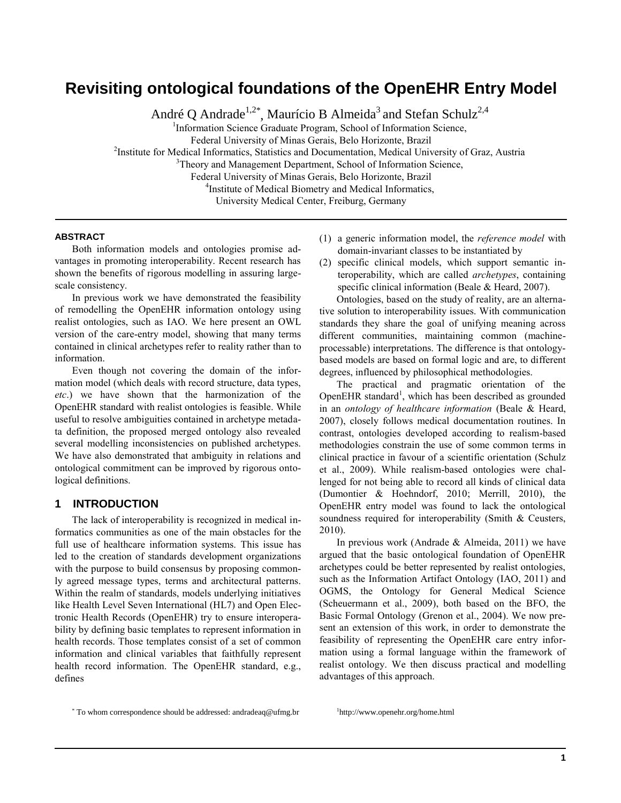# **Revisiting ontological foundations of the OpenEHR Entry Model**

André Q Andrade $^{1,2^*}$ , Maurício B Almeida<sup>3</sup> and Stefan Schulz<sup>2,4</sup>

<sup>1</sup>Information Science Graduate Program, School of Information Science, Federal University of Minas Gerais, Belo Horizonte, Brazil <sup>2</sup>Institute for Medical Informatics, Statistics and Documentation, Medical University of Graz, Austria <sup>3</sup>Theory and Management Department, School of Information Science, Federal University of Minas Gerais, Belo Horizonte, Brazil <sup>4</sup>Institute of Medical Biometry and Medical Informatics, University Medical Center, Freiburg, Germany

### **ABSTRACT**

Both information models and ontologies promise advantages in promoting interoperability. Recent research has shown the benefits of rigorous modelling in assuring largescale consistency.

In previous work we have demonstrated the feasibility of remodelling the OpenEHR information ontology using realist ontologies, such as IAO. We here present an OWL version of the care-entry model, showing that many terms contained in clinical archetypes refer to reality rather than to information.

Even though not covering the domain of the information model (which deals with record structure, data types, *etc*.) we have shown that the harmonization of the OpenEHR standard with realist ontologies is feasible. While useful to resolve ambiguities contained in archetype metadata definition, the proposed merged ontology also revealed several modelling inconsistencies on published archetypes. We have also demonstrated that ambiguity in relations and ontological commitment can be improved by rigorous ontological definitions.

### **1 INTRODUCTION**

The lack of interoperability is recognized in medical informatics communities as one of the main obstacles for the full use of healthcare information systems. This issue has led to the creation of standards development organizations with the purpose to build consensus by proposing commonly agreed message types, terms and architectural patterns. Within the realm of standards, models underlying initiatives like Health Level Seven International (HL7) and Open Electronic Health Records (OpenEHR) try to ensure interoperability by defining basic templates to represent information in health records. Those templates consist of a set of common information and clinical variables that faithfully represent health record information. The OpenEHR standard, e.g., defines

- (1) a generic information model, the *reference model* with domain-invariant classes to be instantiated by
- (2) specific clinical models, which support semantic interoperability, which are called *archetypes*, containing specific clinical information [\(Beale & Heard, 2007\)](#page-4-0).

Ontologies, based on the study of reality, are an alternative solution to interoperability issues. With communication standards they share the goal of unifying meaning across different communities, maintaining common (machineprocessable) interpretations. The difference is that ontologybased models are based on formal logic and are, to different degrees, influenced by philosophical methodologies.

The practical and pragmatic orientation of the OpenEHR standard<sup>1</sup>, which has been described as grounded in an *ontology of healthcare information* [\(Beale & Heard,](#page-4-1)  [2007\)](#page-4-1), closely follows medical documentation routines. In contrast, ontologies developed according to realism-based methodologies constrain the use of some common terms in clinical practice in favour of a scientific orientation [\(Schulz](#page-4-2)  [et al., 2009\)](#page-4-2). While realism-based ontologies were challenged for not being able to record all kinds of clinical data [\(Dumontier & Hoehndorf, 2010;](#page-4-3) [Merrill, 2010\)](#page-4-4), the OpenEHR entry model was found to lack the ontological soundness required for interoperability (Smith & Ceusters, [2010\)](#page-4-5).

In previous work [\(Andrade & Almeida, 2011\)](#page-4-6) we have argued that the basic ontological foundation of OpenEHR archetypes could be better represented by realist ontologies, such as the Information Artifact Ontology [\(IAO, 2011\)](#page-4-7) and OGMS, the Ontology for General Medical Science [\(Scheuermann et al., 2009\)](#page-4-8), both based on the BFO, the Basic Formal Ontology [\(Grenon et al., 2004\)](#page-4-9). We now present an extension of this work, in order to demonstrate the feasibility of representing the OpenEHR care entry information using a formal language within the framework of realist ontology. We then discuss practical and modelling advantages of this approach.

\* To whom correspondence should be addressed: andradeaq@ufmg.br

1 http://www.openehr.org/home.html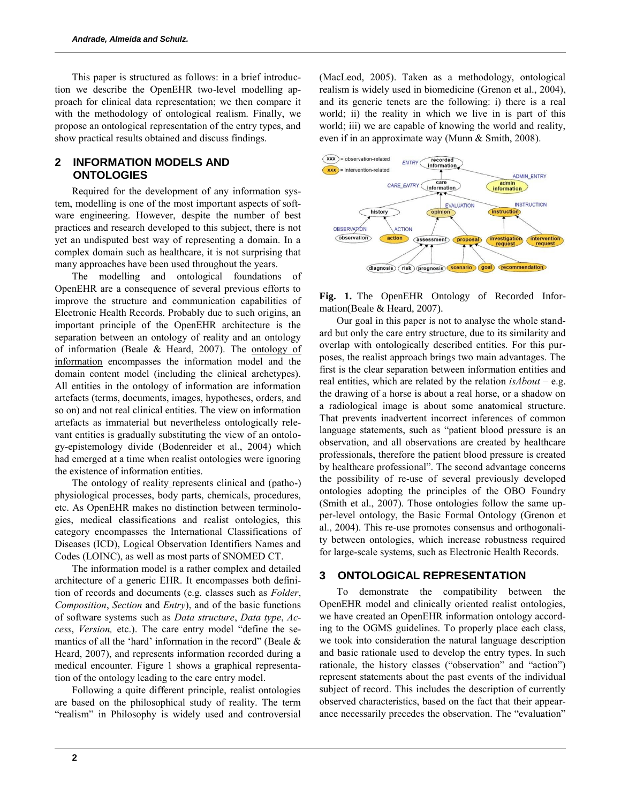This paper is structured as follows: in a brief introduction we describe the OpenEHR two-level modelling approach for clinical data representation; we then compare it with the methodology of ontological realism. Finally, we propose an ontological representation of the entry types, and show practical results obtained and discuss findings.

# **2 INFORMATION MODELS AND ONTOLOGIES**

Required for the development of any information system, modelling is one of the most important aspects of software engineering. However, despite the number of best practices and research developed to this subject, there is not yet an undisputed best way of representing a domain. In a complex domain such as healthcare, it is not surprising that many approaches have been used throughout the years.

The modelling and ontological foundations of OpenEHR are a consequence of several previous efforts to improve the structure and communication capabilities of Electronic Health Records. Probably due to such origins, an important principle of the OpenEHR architecture is the separation between an ontology of reality and an ontology of information (Beale & Heard, 2007). The ontology of information encompasses the information model and the domain content model (including the clinical archetypes). All entities in the ontology of information are information artefacts (terms, documents, images, hypotheses, orders, and so on) and not real clinical entities. The view on information artefacts as immaterial but nevertheless ontologically relevant entities is gradually substituting the view of an ontology-epistemology divide (Bodenreider et al., 2004) which had emerged at a time when realist ontologies were ignoring the existence of information entities.

The ontology of reality represents clinical and (patho-) physiological processes, body parts, chemicals, procedures, etc. As OpenEHR makes no distinction between terminologies, medical classifications and realist ontologies, this category encompasses the International Classifications of Diseases (ICD), Logical Observation Identifiers Names and Codes (LOINC), as well as most parts of SNOMED CT.

The information model is a rather complex and detailed architecture of a generic EHR. It encompasses both definition of records and documents (e.g. classes such as *Folder*, *Composition*, *Section* and *Entry*), and of the basic functions of software systems such as *Data structure*, *Data type*, *Access*, *Version,* etc.). The care entry model "define the semantics of all the 'hard' information in the record" (Beale  $\&$ Heard, 2007), and represents information recorded during a medical encounter. Figure 1 shows a graphical representation of the ontology leading to the care entry model.

Following a quite different principle, realist ontologies are based on the philosophical study of reality. The term "realism" in Philosophy is widely used and controversial (MacLeod, 2005). Taken as a methodology, ontological realism is widely used in biomedicine (Grenon et al., 2004), and its generic tenets are the following: i) there is a real world; ii) the reality in which we live in is part of this world; iii) we are capable of knowing the world and reality, even if in an approximate way (Munn & Smith, 2008).



**Fig. 1.** The OpenEHR Ontology of Recorded Information(Beale & Heard, 2007).

Our goal in this paper is not to analyse the whole standard but only the care entry structure, due to its similarity and overlap with ontologically described entities. For this purposes, the realist approach brings two main advantages. The first is the clear separation between information entities and real entities, which are related by the relation *isAbout* – e.g. the drawing of a horse is about a real horse, or a shadow on a radiological image is about some anatomical structure. That prevents inadvertent incorrect inferences of common language statements, such as "patient blood pressure is an observation, and all observations are created by healthcare professionals, therefore the patient blood pressure is created by healthcare professional". The second advantage concerns the possibility of re-use of several previously developed ontologies adopting the principles of the OBO Foundry (Smith et al., 2007). Those ontologies follow the same upper-level ontology, the Basic Formal Ontology (Grenon et al., 2004). This re-use promotes consensus and orthogonality between ontologies, which increase robustness required for large-scale systems, such as Electronic Health Records.

### **3 ONTOLOGICAL REPRESENTATION**

To demonstrate the compatibility between the OpenEHR model and clinically oriented realist ontologies, we have created an OpenEHR information ontology according to the OGMS guidelines. To properly place each class, we took into consideration the natural language description and basic rationale used to develop the entry types. In such rationale, the history classes ("observation" and "action") represent statements about the past events of the individual subject of record. This includes the description of currently observed characteristics, based on the fact that their appearance necessarily precedes the observation. The "evaluation"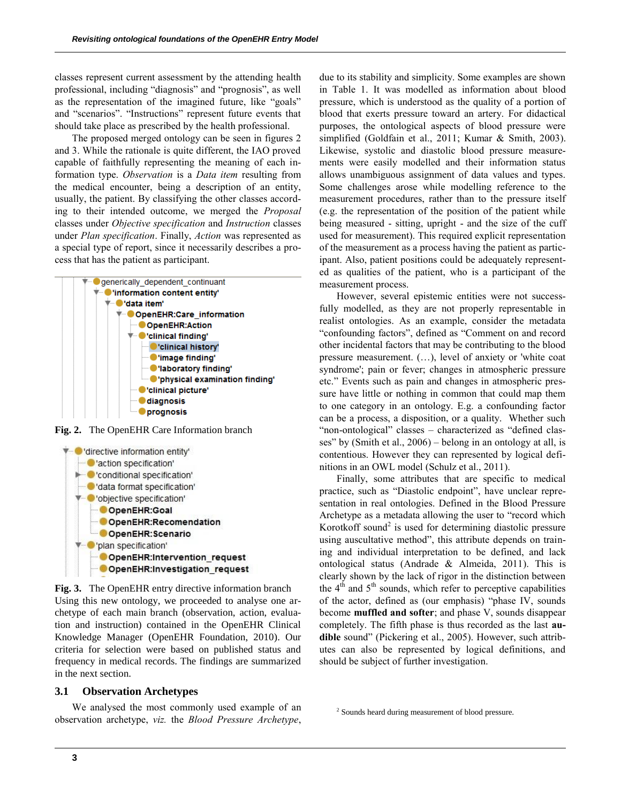classes represent current assessment by the attending health professional, including "diagnosis" and "prognosis", as well as the representation of the imagined future, like "goals" and "scenarios". "Instructions" represent future events that should take place as prescribed by the health professional.

The proposed merged ontology can be seen in figures 2 and 3. While the rationale is quite different, the IAO proved capable of faithfully representing the meaning of each information type. *Observation* is a *Data item* resulting from the medical encounter, being a description of an entity, usually, the patient. By classifying the other classes according to their intended outcome, we merged the *Proposal* classes under *Objective specification* and *Instruction* classes under *Plan specification*. Finally, *Action* was represented as a special type of report, since it necessarily describes a process that has the patient as participant.



**Fig. 2.** The OpenEHR Care Information branch



**Fig. 3.** The OpenEHR entry directive information branch Using this new ontology, we proceeded to analyse one archetype of each main branch (observation, action, evaluation and instruction) contained in the OpenEHR Clinical Knowledge Manager (OpenEHR Foundation, 2010). Our criteria for selection were based on published status and frequency in medical records. The findings are summarized in the next section.

### **3.1 Observation Archetypes**

We analysed the most commonly used example of an observation archetype, *viz.* the *Blood Pressure Archetype*, due to its stability and simplicity. Some examples are shown in Table 1. It was modelled as information about blood pressure, which is understood as the quality of a portion of blood that exerts pressure toward an artery. For didactical purposes, the ontological aspects of blood pressure were simplified (Goldfain et al., 2011; Kumar & Smith, 2003). Likewise, systolic and diastolic blood pressure measurements were easily modelled and their information status allows unambiguous assignment of data values and types. Some challenges arose while modelling reference to the measurement procedures, rather than to the pressure itself (e.g. the representation of the position of the patient while being measured - sitting, upright - and the size of the cuff used for measurement). This required explicit representation of the measurement as a process having the patient as participant. Also, patient positions could be adequately represented as qualities of the patient, who is a participant of the measurement process.

However, several epistemic entities were not successfully modelled, as they are not properly representable in realist ontologies. As an example, consider the metadata "confounding factors", defined as "Comment on and record other incidental factors that may be contributing to the blood pressure measurement. (…), level of anxiety or 'white coat syndrome'; pain or fever; changes in atmospheric pressure etc." Events such as pain and changes in atmospheric pressure have little or nothing in common that could map them to one category in an ontology. E.g. a confounding factor can be a process, a disposition, or a quality. Whether such "non-ontological" classes - characterized as "defined classes" by (Smith et al., 2006) – belong in an ontology at all, is contentious. However they can represented by logical definitions in an OWL model (Schulz et al., 2011).

Finally, some attributes that are specific to medical practice, such as "Diastolic endpoint", have unclear representation in real ontologies. Defined in the Blood Pressure Archetype as a metadata allowing the user to "record which Korotkoff sound<sup>2</sup> is used for determining diastolic pressure using auscultative method", this attribute depends on training and individual interpretation to be defined, and lack ontological status (Andrade & Almeida, 2011). This is clearly shown by the lack of rigor in the distinction between the  $4<sup>th</sup>$  and  $5<sup>th</sup>$  sounds, which refer to perceptive capabilities of the actor, defined as (our emphasis) "phase IV, sounds become **muffled and softer**; and phase V, sounds disappear completely. The fifth phase is thus recorded as the last **audible** sound" (Pickering et al., 2005). However, such attributes can also be represented by logical definitions, and should be subject of further investigation.

<sup>2</sup> Sounds heard during measurement of blood pressure.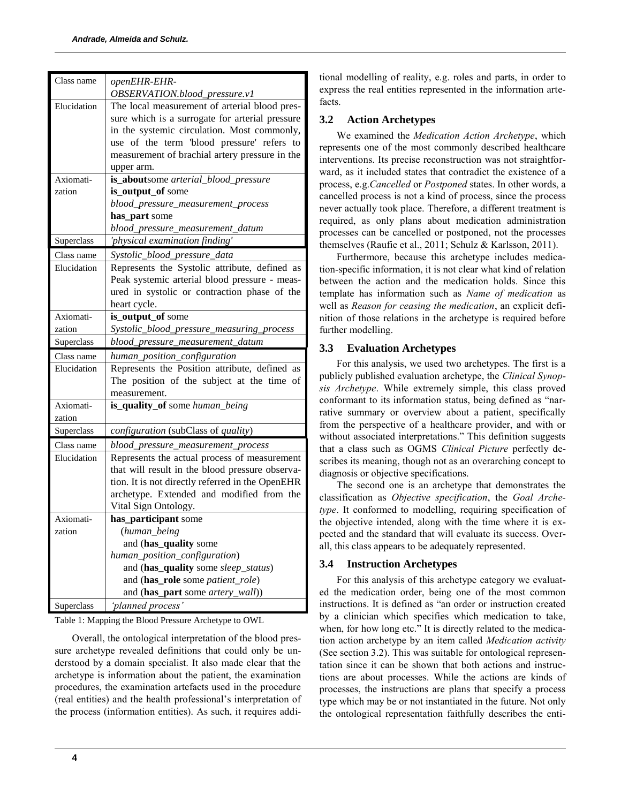| Class name  | openEHR-EHR-                                     |
|-------------|--------------------------------------------------|
|             | OBSERVATION.blood_pressure.v1                    |
| Elucidation | The local measurement of arterial blood pres-    |
|             | sure which is a surrogate for arterial pressure  |
|             | in the systemic circulation. Most commonly,      |
|             | use of the term 'blood pressure' refers to       |
|             | measurement of brachial artery pressure in the   |
|             | upper arm.                                       |
| Axiomati-   | is_aboutsome arterial_blood_pressure             |
| zation      | is_output_of some                                |
|             | blood_pressure_measurement_process               |
|             | has_part some                                    |
|             | blood_pressure_measurement_datum                 |
| Superclass  | 'physical examination finding'                   |
| Class name  | Systolic_blood_pressure_data                     |
| Elucidation | Represents the Systolic attribute, defined as    |
|             | Peak systemic arterial blood pressure - meas-    |
|             | ured in systolic or contraction phase of the     |
|             | heart cycle.                                     |
| Axiomati-   | is_output_of some                                |
| zation      | Systolic_blood_pressure_measuring_process        |
|             | blood_pressure_measurement_datum                 |
| Superclass  |                                                  |
| Class name  | human_position_configuration                     |
| Elucidation | Represents the Position attribute, defined as    |
|             | The position of the subject at the time of       |
|             | measurement.                                     |
| Axiomati-   | is_quality_of some human_being                   |
| zation      |                                                  |
| Superclass  | configuration (subClass of quality)              |
| Class name  | blood_pressure_measurement_process               |
| Elucidation | Represents the actual process of measurement     |
|             | that will result in the blood pressure observa-  |
|             | tion. It is not directly referred in the OpenEHR |
|             | archetype. Extended and modified from the        |
|             | Vital Sign Ontology.                             |
| Axiomati-   |                                                  |
| zation      | has_participant some<br>(human_being             |
|             | and (has_quality some                            |
|             | human_position_configuration)                    |
|             | and (has_quality some sleep_status)              |
|             | and (has_role some patient_role)                 |
|             | and (has_part some artery_wall))                 |

Table 1: Mapping the Blood Pressure Archetype to OWL

Overall, the ontological interpretation of the blood pressure archetype revealed definitions that could only be understood by a domain specialist. It also made clear that the archetype is information about the patient, the examination procedures, the examination artefacts used in the procedure (real entities) and the health professional"s interpretation of the process (information entities). As such, it requires additional modelling of reality, e.g. roles and parts, in order to express the real entities represented in the information artefacts.

# **3.2 Action Archetypes**

We examined the *Medication Action Archetype*, which represents one of the most commonly described healthcare interventions. Its precise reconstruction was not straightforward, as it included states that contradict the existence of a process, e.g.*Cancelled* or *Postponed* states. In other words, a cancelled process is not a kind of process, since the process never actually took place. Therefore, a different treatment is required, as only plans about medication administration processes can be cancelled or postponed, not the processes themselves [\(Raufie et al., 2011;](#page-4-10) [Schulz & Karlsson, 2011\)](#page-4-11).

Furthermore, because this archetype includes medication-specific information, it is not clear what kind of relation between the action and the medication holds. Since this template has information such as *Name of medication* as well as *Reason for ceasing the medication*, an explicit definition of those relations in the archetype is required before further modelling.

# **3.3 Evaluation Archetypes**

For this analysis, we used two archetypes. The first is a publicly published evaluation archetype, the *Clinical Synopsis Archetype*. While extremely simple, this class proved conformant to its information status, being defined as "narrative summary or overview about a patient, specifically from the perspective of a healthcare provider, and with or without associated interpretations." This definition suggests that a class such as OGMS *Clinical Picture* perfectly describes its meaning, though not as an overarching concept to diagnosis or objective specifications.

The second one is an archetype that demonstrates the classification as *Objective specification*, the *Goal Archetype*. It conformed to modelling, requiring specification of the objective intended, along with the time where it is expected and the standard that will evaluate its success. Overall, this class appears to be adequately represented.

# **3.4 Instruction Archetypes**

For this analysis of this archetype category we evaluated the medication order, being one of the most common instructions. It is defined as "an order or instruction created by a clinician which specifies which medication to take, when, for how long etc." It is directly related to the medication action archetype by an item called *Medication activity*  (See section 3.2). This was suitable for ontological representation since it can be shown that both actions and instructions are about processes. While the actions are kinds of processes, the instructions are plans that specify a process type which may be or not instantiated in the future. Not only the ontological representation faithfully describes the enti